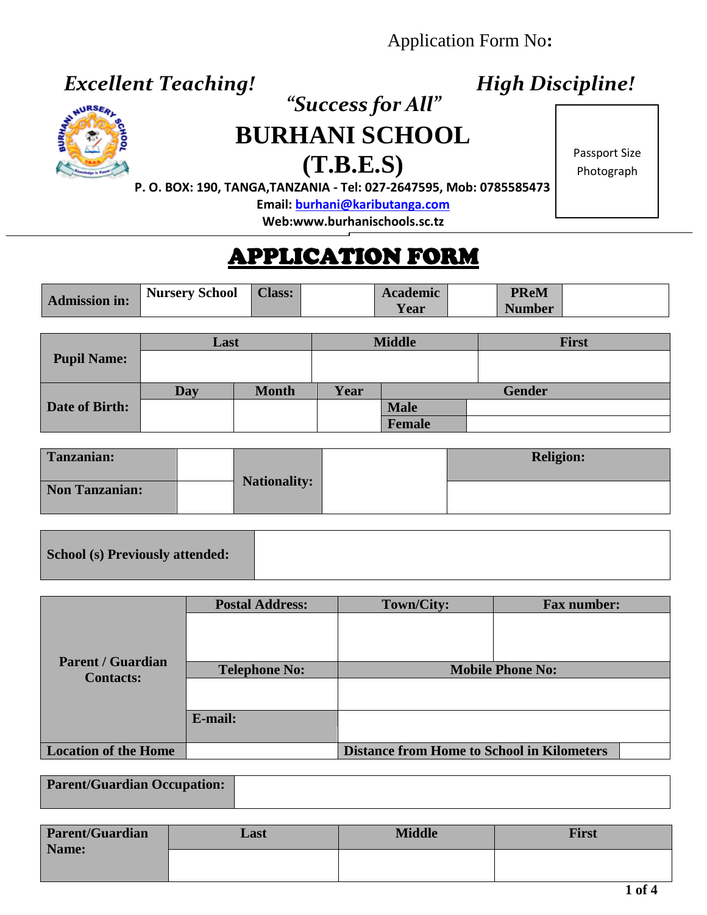# Application Form No**:**

# *Excellent Teaching! High Discipline!*



 $\overline{a}$ 

# *CHURSERL*<br> **DIIDIT**<br> **DIIDIT! BURHANI SCHOOL**

**(T.B.E.S)**

Passport Size Photograph

 **P. O. BOX: 190, TANGA,TANZANIA - Tel: 027-2647595, Mob: 0785585473**

**Email[: burhani@kaributanga.com](mailto:burhani@kaributanga.com)**

**Web:www.burhanischools.sc.tz**

# APPLICATION FORM

|               | Nursery School | <b>Class:</b> | <b>Academic</b> | <b>PReM</b>   |  |
|---------------|----------------|---------------|-----------------|---------------|--|
| Admission in: |                |               | Y ear           | <b>Number</b> |  |

|                       | Last |              |      | <b>Middle</b> | <b>First</b>  |
|-----------------------|------|--------------|------|---------------|---------------|
| <b>Pupil Name:</b>    |      |              |      |               |               |
|                       | Day  | <b>Month</b> | Year |               | <b>Gender</b> |
| <b>Date of Birth:</b> |      |              |      | <b>Male</b>   |               |
|                       |      |              |      | Female        |               |

| Tanzanian:            | <b>Nationality:</b> | <b>Religion:</b> |
|-----------------------|---------------------|------------------|
| <b>Non Tanzanian:</b> |                     |                  |

|--|

|                             | <b>Postal Address:</b> | Town/City:                                        | <b>Fax number:</b> |  |
|-----------------------------|------------------------|---------------------------------------------------|--------------------|--|
| <b>Parent / Guardian</b>    |                        |                                                   |                    |  |
| <b>Contacts:</b>            | <b>Telephone No:</b>   | <b>Mobile Phone No:</b>                           |                    |  |
|                             |                        |                                                   |                    |  |
|                             | E-mail:                |                                                   |                    |  |
|                             |                        |                                                   |                    |  |
| <b>Location of the Home</b> |                        | <b>Distance from Home to School in Kilometers</b> |                    |  |

| <b>Parent/Guardian Occupation:</b> |  |
|------------------------------------|--|

| <b>Parent/Guardian</b><br>Name: | Last | <b>Middle</b> | <b>First</b> |
|---------------------------------|------|---------------|--------------|
|                                 |      |               |              |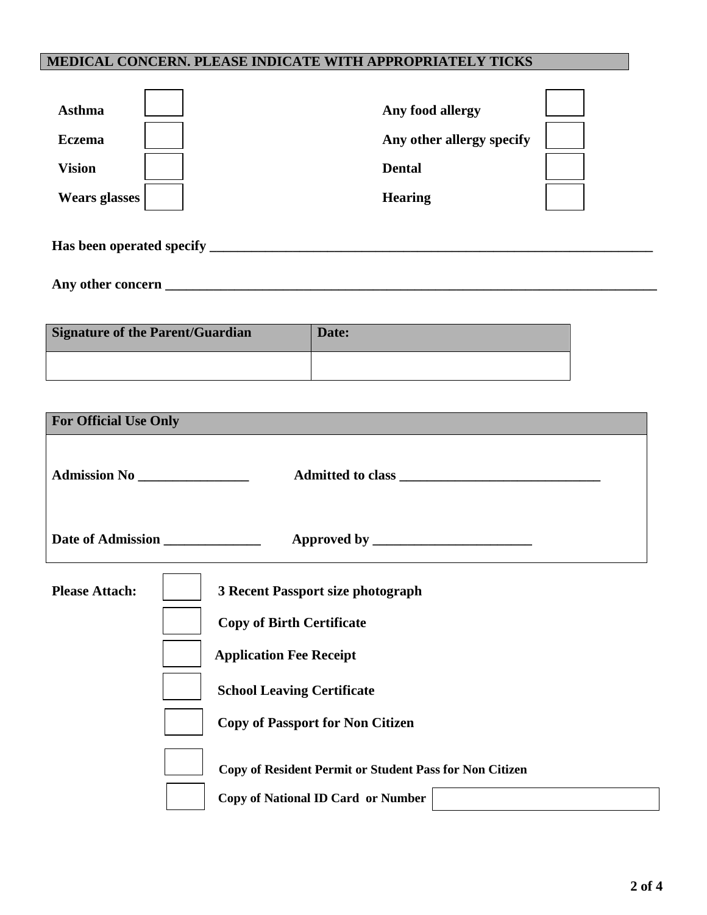### **MEDICAL CONCERN. PLEASE INDICATE WITH APPROPRIATELY TICKS**

| <b>Asthma</b>             | Any food allergy          |
|---------------------------|---------------------------|
| <b>Eczema</b>             | Any other allergy specify |
| <b>Vision</b>             | <b>Dental</b>             |
| <b>Wears glasses</b>      | <b>Hearing</b>            |
| Has been operated specify |                           |

**Any other concern \_\_\_\_\_\_\_\_\_\_\_\_\_\_\_\_\_\_\_\_\_\_\_\_\_\_\_\_\_\_\_\_\_\_\_\_\_\_\_\_\_\_\_\_\_\_\_\_\_\_\_\_\_\_\_\_\_\_\_\_\_\_\_\_\_\_\_\_\_\_\_**

| <b>Signature of the Parent/Guardian</b> | Date: |
|-----------------------------------------|-------|
|                                         |       |

| <b>For Official Use Only</b>     |                                                                                                                                                                                                |
|----------------------------------|------------------------------------------------------------------------------------------------------------------------------------------------------------------------------------------------|
| Admission No ________________    |                                                                                                                                                                                                |
| Date of Admission ______________ |                                                                                                                                                                                                |
| <b>Please Attach:</b>            | <b>3 Recent Passport size photograph</b><br><b>Copy of Birth Certificate</b><br><b>Application Fee Receipt</b><br><b>School Leaving Certificate</b><br><b>Copy of Passport for Non Citizen</b> |
|                                  | Copy of Resident Permit or Student Pass for Non Citizen                                                                                                                                        |
|                                  | <b>Copy of National ID Card or Number</b>                                                                                                                                                      |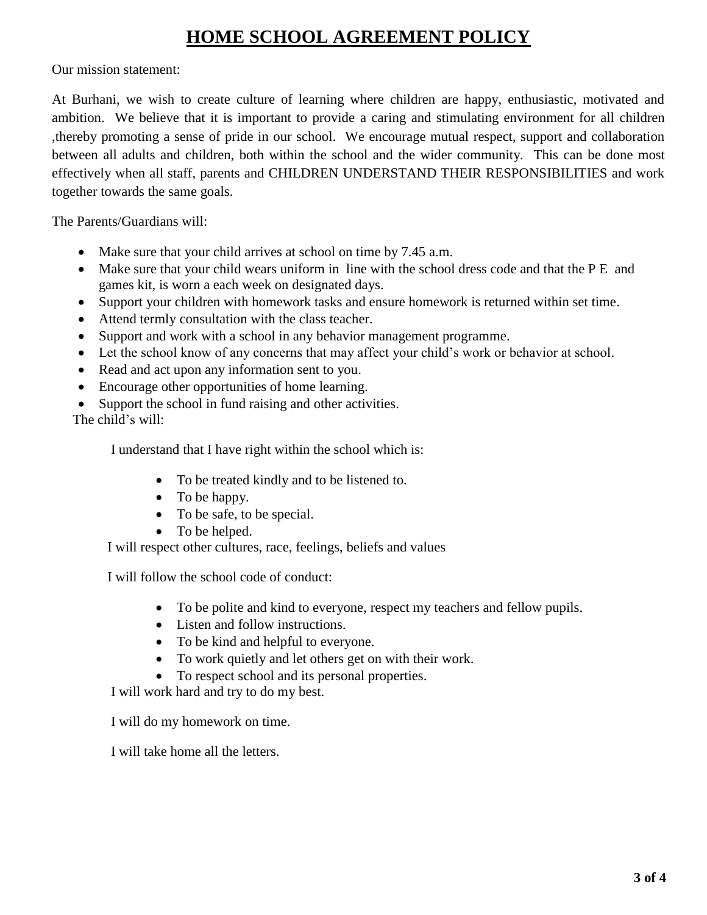# **HOME SCHOOL AGREEMENT POLICY**

Our mission statement:

At Burhani, we wish to create culture of learning where children are happy, enthusiastic, motivated and ambition. We believe that it is important to provide a caring and stimulating environment for all children ,thereby promoting a sense of pride in our school. We encourage mutual respect, support and collaboration between all adults and children, both within the school and the wider community. This can be done most effectively when all staff, parents and CHILDREN UNDERSTAND THEIR RESPONSIBILITIES and work together towards the same goals.

The Parents/Guardians will:

- Make sure that your child arrives at school on time by 7.45 a.m.
- Make sure that your child wears uniform in line with the school dress code and that the P E and games kit, is worn a each week on designated days.
- Support your children with homework tasks and ensure homework is returned within set time.
- Attend termly consultation with the class teacher.
- Support and work with a school in any behavior management programme.
- Let the school know of any concerns that may affect your child's work or behavior at school.
- Read and act upon any information sent to you.
- Encourage other opportunities of home learning.
- Support the school in fund raising and other activities.

The child's will:

I understand that I have right within the school which is:

- To be treated kindly and to be listened to.
- To be happy.
- To be safe, to be special.
- To be helped.

I will respect other cultures, race, feelings, beliefs and values

I will follow the school code of conduct:

- To be polite and kind to everyone, respect my teachers and fellow pupils.
- Listen and follow instructions.
- To be kind and helpful to everyone.
- To work quietly and let others get on with their work.
- To respect school and its personal properties.

I will work hard and try to do my best.

I will do my homework on time.

I will take home all the letters.